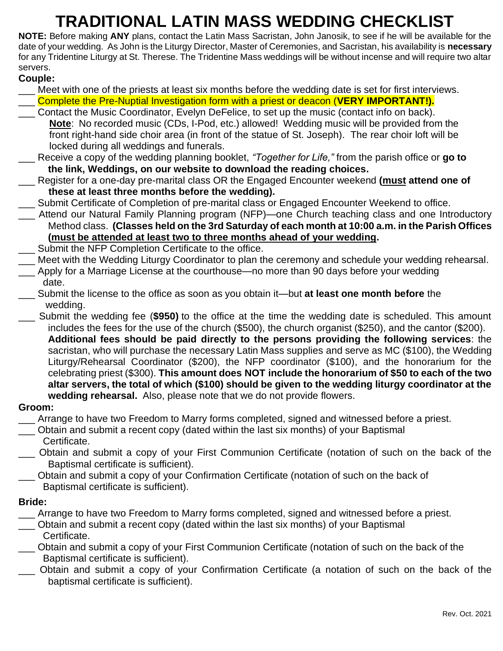## **TRADITIONAL LATIN MASS WEDDING CHECKLIST**

**NOTE:** Before making **ANY** plans, contact the Latin Mass Sacristan, John Janosik, to see if he will be available for the date of your wedding. As John is the Liturgy Director, Master of Ceremonies, and Sacristan, his availability is **necessary** for any Tridentine Liturgy at St. Therese. The Tridentine Mass weddings will be without incense and will require two altar servers.

#### **Couple:**

- Meet with one of the priests at least six months before the wedding date is set for first interviews.
- \_\_\_ Complete the Pre-Nuptial Investigation form with a priest or deacon (**VERY IMPORTANT!).**
- \_\_\_ Contact the Music Coordinator, Evelyn DeFelice, to set up the music (contact info on back). **Note**: No recorded music (CDs, I-Pod, etc.) allowed! Wedding music will be provided from the front right-hand side choir area (in front of the statue of St. Joseph). The rear choir loft will be locked during all weddings and funerals.
- \_\_\_ Receive a copy of the wedding planning booklet, *"Together for Life,"* from the parish office or **go to the link, Weddings, on our website to download the reading choices.**
- \_\_\_ Register for a one-day pre-marital class OR the Engaged Encounter weekend **(must attend one of these at least three months before the wedding).**
- \_\_\_ Submit Certificate of Completion of pre-marital class or Engaged Encounter Weekend to office.
- \_\_\_ Attend our Natural Family Planning program (NFP)—one Church teaching class and one Introductory Method class. **(Classes held on the 3rd Saturday of each month at 10:00 a.m. in the Parish Offices (must be attended at least two to three months ahead of your wedding.**
- \_\_\_ Submit the NFP Completion Certificate to the office.
- \_\_\_ Meet with the Wedding Liturgy Coordinator to plan the ceremony and schedule your wedding rehearsal.
- \_\_\_ Apply for a Marriage License at the courthouse—no more than 90 days before your wedding date.
- \_\_\_ Submit the license to the office as soon as you obtain it—but **at least one month before** the wedding.
- \_\_\_ Submit the wedding fee (**\$950)** to the office at the time the wedding date is scheduled. This amount includes the fees for the use of the church (\$500), the church organist (\$250), and the cantor (\$200). **Additional fees should be paid directly to the persons providing the following services**: the sacristan, who will purchase the necessary Latin Mass supplies and serve as MC (\$100), the Wedding Liturgy/Rehearsal Coordinator (\$200), the NFP coordinator (\$100), and the honorarium for the celebrating priest (\$300). **This amount does NOT include the honorarium of \$50 to each of the two altar servers, the total of which (\$100) should be given to the wedding liturgy coordinator at the wedding rehearsal.** Also, please note that we do not provide flowers.

#### **Groom:**

\_\_\_ Arrange to have two Freedom to Marry forms completed, signed and witnessed before a priest.

- \_\_\_ Obtain and submit a recent copy (dated within the last six months) of your Baptismal Certificate.
- \_\_\_ Obtain and submit a copy of your First Communion Certificate (notation of such on the back of the Baptismal certificate is sufficient).
- \_\_\_ Obtain and submit a copy of your Confirmation Certificate (notation of such on the back of Baptismal certificate is sufficient).

#### **Bride:**

- \_\_\_ Arrange to have two Freedom to Marry forms completed, signed and witnessed before a priest.
- \_\_\_ Obtain and submit a recent copy (dated within the last six months) of your Baptismal Certificate.
- \_\_\_ Obtain and submit a copy of your First Communion Certificate (notation of such on the back of the Baptismal certificate is sufficient).
- \_\_\_ Obtain and submit a copy of your Confirmation Certificate (a notation of such on the back of the baptismal certificate is sufficient).